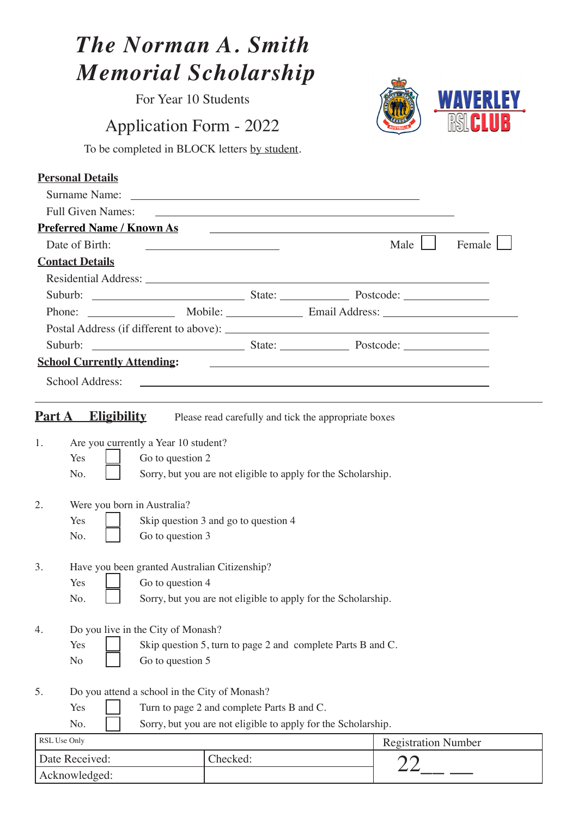| <b>The Norman A. Smith</b>                                      |                                                                                                                                                                                                                                      |                              |  |
|-----------------------------------------------------------------|--------------------------------------------------------------------------------------------------------------------------------------------------------------------------------------------------------------------------------------|------------------------------|--|
| <b>Memorial Scholarship</b>                                     |                                                                                                                                                                                                                                      |                              |  |
| For Year 10 Students                                            |                                                                                                                                                                                                                                      |                              |  |
| <b>Application Form - 2022</b>                                  |                                                                                                                                                                                                                                      |                              |  |
| To be completed in BLOCK letters by student.                    |                                                                                                                                                                                                                                      |                              |  |
|                                                                 |                                                                                                                                                                                                                                      |                              |  |
| <b>Personal Details</b>                                         |                                                                                                                                                                                                                                      |                              |  |
|                                                                 |                                                                                                                                                                                                                                      |                              |  |
| <b>Full Given Names:</b>                                        | <u>some started and the started and the started and the started and the started and the started and the started and the started and the started and the started and the started and the started and the started and the started </u> |                              |  |
| <b>Preferred Name / Known As</b>                                |                                                                                                                                                                                                                                      |                              |  |
| Date of Birth:                                                  | <u> 1989 - Johann Barn, mars ann an t-Amhain Aonaich an t-Aonaich an t-Aonaich ann an t-Aonaich ann an t-Aonaich</u>                                                                                                                 | Male $\vert \vert$<br>Female |  |
| <b>Contact Details</b>                                          |                                                                                                                                                                                                                                      |                              |  |
|                                                                 | Residential Address: Lawrence and Contract and Contract and Contract and Contract and Contract and Contract and Contract and Contract and Contract and Contract and Contract and Contract and Contract and Contract and Contra       |                              |  |
|                                                                 |                                                                                                                                                                                                                                      |                              |  |
|                                                                 |                                                                                                                                                                                                                                      |                              |  |
|                                                                 |                                                                                                                                                                                                                                      |                              |  |
|                                                                 |                                                                                                                                                                                                                                      |                              |  |
| <b>School Currently Attending:</b>                              | <u> 1980 - Jan Samuel Barbara, martin da shekara ta 1980 haɗan ta 1980 haɗa ta 1980 haɗa ta 1980 haɗa ta 1980 ha</u>                                                                                                                 |                              |  |
| School Address:                                                 |                                                                                                                                                                                                                                      |                              |  |
| <b>Part A</b><br><b>Eligibility</b>                             | Please read carefully and tick the appropriate boxes                                                                                                                                                                                 |                              |  |
|                                                                 |                                                                                                                                                                                                                                      |                              |  |
| Are you currently a Year 10 student?<br>$1_{-}$                 |                                                                                                                                                                                                                                      |                              |  |
| Yes<br>Go to question 2                                         |                                                                                                                                                                                                                                      |                              |  |
| No.                                                             | Sorry, but you are not eligible to apply for the Scholarship.                                                                                                                                                                        |                              |  |
| Were you born in Australia?<br>2.                               |                                                                                                                                                                                                                                      |                              |  |
| Yes                                                             |                                                                                                                                                                                                                                      |                              |  |
| Skip question 3 and go to question 4<br>Go to question 3<br>No. |                                                                                                                                                                                                                                      |                              |  |
|                                                                 |                                                                                                                                                                                                                                      |                              |  |
| 3.<br>Have you been granted Australian Citizenship?             |                                                                                                                                                                                                                                      |                              |  |
| Go to question 4<br>Yes                                         |                                                                                                                                                                                                                                      |                              |  |
| No.                                                             | Sorry, but you are not eligible to apply for the Scholarship.                                                                                                                                                                        |                              |  |
|                                                                 |                                                                                                                                                                                                                                      |                              |  |
| Do you live in the City of Monash?<br>4.                        |                                                                                                                                                                                                                                      |                              |  |
| Yes                                                             | Skip question 5, turn to page 2 and complete Parts B and C.                                                                                                                                                                          |                              |  |
| Go to question 5<br>No                                          |                                                                                                                                                                                                                                      |                              |  |
|                                                                 |                                                                                                                                                                                                                                      |                              |  |
| Do you attend a school in the City of Monash?<br>5.             |                                                                                                                                                                                                                                      |                              |  |
| Yes                                                             | Turn to page 2 and complete Parts B and C.                                                                                                                                                                                           |                              |  |
| No.                                                             | Sorry, but you are not eligible to apply for the Scholarship.                                                                                                                                                                        |                              |  |
| RSL Use Only                                                    |                                                                                                                                                                                                                                      | <b>Registration Number</b>   |  |
| Date Received:                                                  | Checked:                                                                                                                                                                                                                             |                              |  |
| Acknowledged:                                                   |                                                                                                                                                                                                                                      |                              |  |